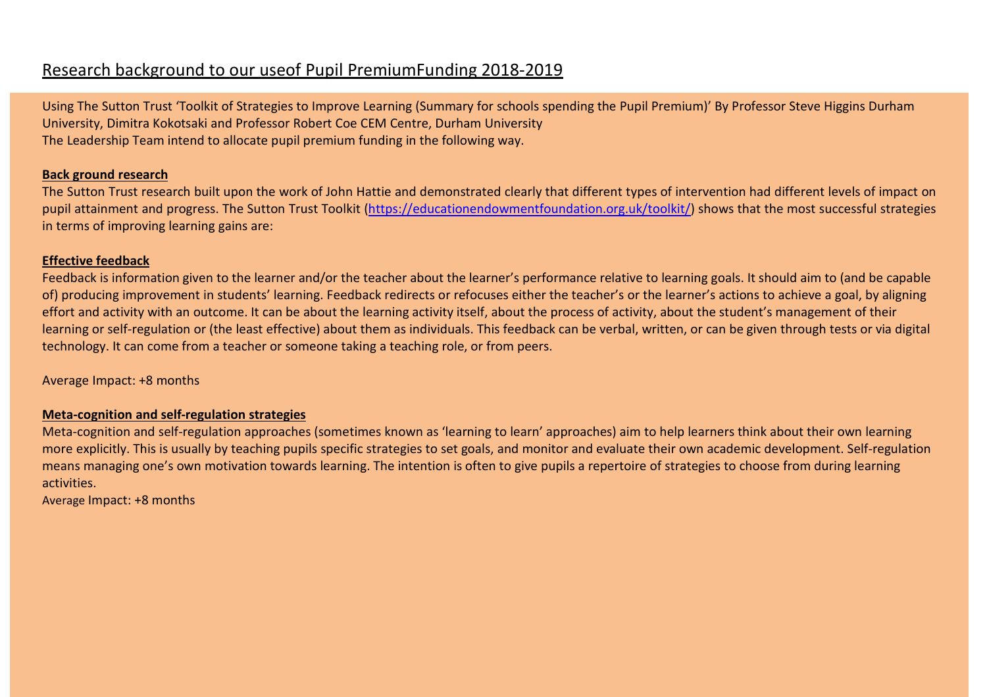# Research background to our useof Pupil PremiumFunding 2018-2019

Using The Sutton Trust 'Toolkit of Strategies to Improve Learning (Summary for schools spending the Pupil Premium)' By Professor Steve Higgins Durham University, Dimitra Kokotsaki and Professor Robert Coe CEM Centre, Durham University The Leadership Team intend to allocate pupil premium funding in the following way.

# **Back ground research**

The Sutton Trust research built upon the work of John Hattie and demonstrated clearly that different types of intervention had different levels of impact on pupil attainment and progress. The Sutton Trust Toolkit (https://educationendowmentfoundation.org.uk/toolkit/) shows that the most successful strategies in terms of improving learning gains are:

# **Effective feedback**

Feedback is information given to the learner and/or the teacher about the learner's performance relative to learning goals. It should aim to (and be capable of) producing improvement in students' learning. Feedback redirects or refocuses either the teacher's or the learner's actions to achieve a goal, by aligning effort and activity with an outcome. It can be about the learning activity itself, about the process of activity, about the student's management of their learning or self-regulation or (the least effective) about them as individuals. This feedback can be verbal, written, or can be given through tests or via digital technology. It can come from a teacher or someone taking a teaching role, or from peers.

Average Impact: +8 months

### **Meta-cognition and self-regulation strategies**

Meta-cognition and self-regulation approaches (sometimes known as 'learning to learn' approaches) aim to help learners think about their own learning more explicitly. This is usually by teaching pupils specific strategies to set goals, and monitor and evaluate their own academic development. Self-regulation means managing one's own motivation towards learning. The intention is often to give pupils a repertoire of strategies to choose from during learning activities.

Average Impact: +8 months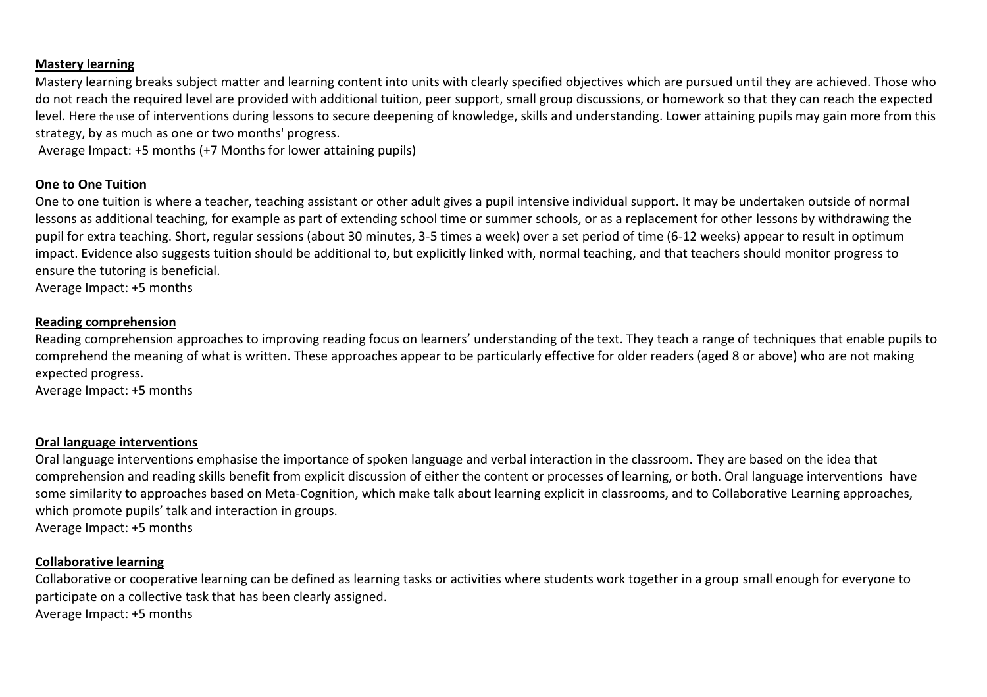### **Mastery learning**

Mastery learning breaks subject matter and learning content into units with clearly specified objectives which are pursued until they are achieved. Those who do not reach the required level are provided with additional tuition, peer support, small group discussions, or homework so that they can reach the expected level. Here the use of interventions during lessons to secure deepening of knowledge, skills and understanding. Lower attaining pupils may gain more from this strategy, by as much as one or two months' progress.

Average Impact: +5 months (+7 Months for lower attaining pupils)

# **One to One Tuition**

One to one tuition is where a teacher, teaching assistant or other adult gives a pupil intensive individual support. It may be undertaken outside of normal lessons as additional teaching, for example as part of extending school time or summer schools, or as a replacement for other lessons by withdrawing the pupil for extra teaching. Short, regular sessions (about 30 minutes, 3-5 times a week) over a set period of time (6-12 weeks) appear to result in optimum impact. Evidence also suggests tuition should be additional to, but explicitly linked with, normal teaching, and that teachers should monitor progress to ensure the tutoring is beneficial.

Average Impact: +5 months

#### **Reading comprehension**

Reading comprehension approaches to improving reading focus on learners' understanding of the text. They teach a range of techniques that enable pupils to comprehend the meaning of what is written. These approaches appear to be particularly effective for older readers (aged 8 or above) who are not making expected progress.

Average Impact: +5 months

#### **Oral language interventions**

Oral language interventions emphasise the importance of spoken language and verbal interaction in the classroom. They are based on the idea that comprehension and reading skills benefit from explicit discussion of either the content or processes of learning, or both. Oral language interventions have some similarity to approaches based on Meta-Cognition, which make talk about learning explicit in classrooms, and to Collaborative Learning approaches, which promote pupils' talk and interaction in groups. Average Impact: +5 months

#### **Collaborative learning**

Collaborative or cooperative learning can be defined as learning tasks or activities where students work together in a group small enough for everyone to participate on a collective task that has been clearly assigned. Average Impact: +5 months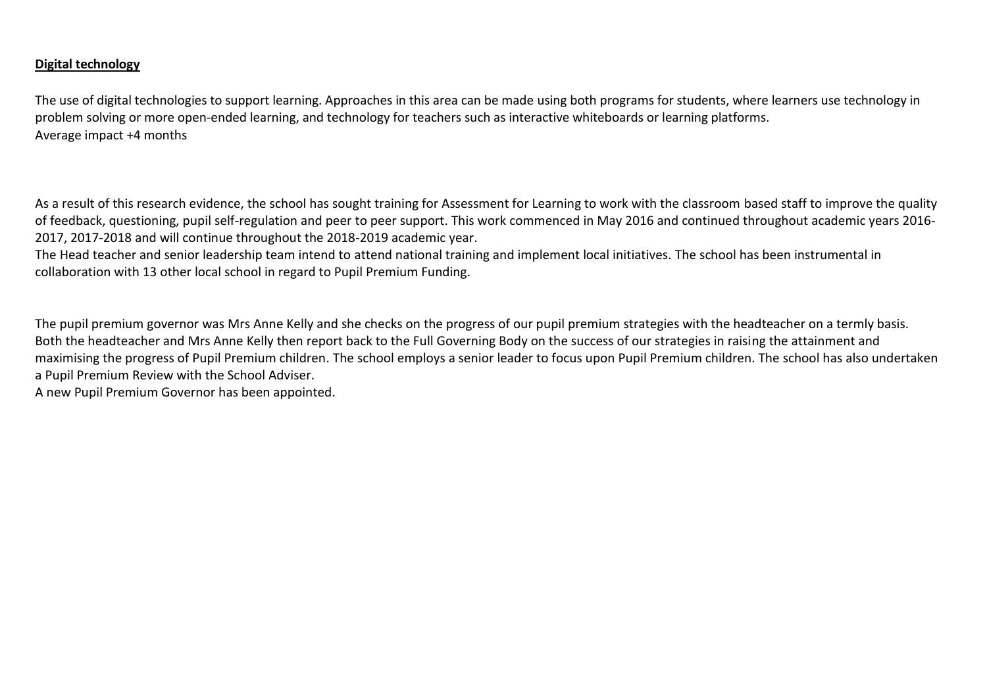# **Digital technology**

The use of digital technologies to support learning. Approaches in this area can be made using both programs for students, where learners use technology in problem solving or more open-ended learning, and technology for teachers such as interactive whiteboards or learning platforms. Average impact +4 months

As a result of this research evidence, the school has sought training for Assessment for Learning to work with the classroom based staff to improve the quality of feedback, questioning, pupil self-regulation and peer to peer support. This work commenced in May 2016 and continued throughout academic years 2016- 2017, 2017-2018 and will continue throughout the 2018-2019 academic year.

The Head teacher and senior leadership team intend to attend national training and implement local initiatives. The school has been instrumental in collaboration with 13 other local school in regard to Pupil Premium Funding.

The pupil premium governor was Mrs Anne Kelly and she checks on the progress of our pupil premium strategies with the headteacher on a termly basis. Both the headteacher and Mrs Anne Kelly then report back to the Full Governing Body on the success of our strategies in raising the attainment and maximising the progress of Pupil Premium children. The school employs a senior leader to focus upon Pupil Premium children. The school has also undertaken a Pupil Premium Review with the School Adviser.

A new Pupil Premium Governor has been appointed.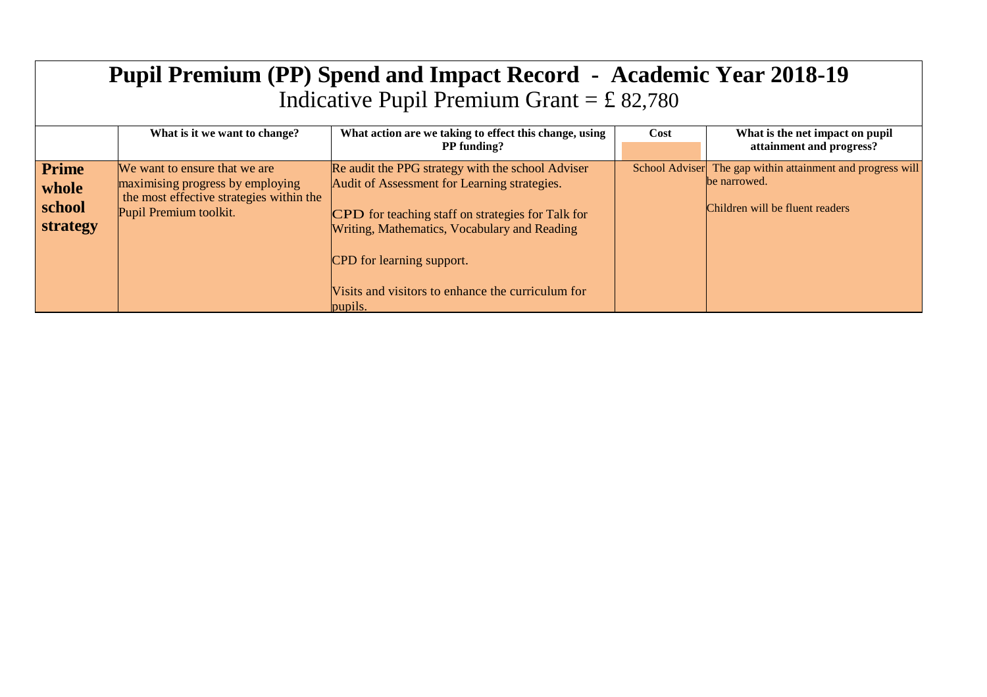| <b>Pupil Premium (PP) Spend and Impact Record - Academic Year 2018-19</b><br>Indicative Pupil Premium Grant = £ 82,780 |                                                                                                                                         |                                                                                                                                                                                                                                                                                                     |      |                                                                                                               |  |
|------------------------------------------------------------------------------------------------------------------------|-----------------------------------------------------------------------------------------------------------------------------------------|-----------------------------------------------------------------------------------------------------------------------------------------------------------------------------------------------------------------------------------------------------------------------------------------------------|------|---------------------------------------------------------------------------------------------------------------|--|
|                                                                                                                        | What is it we want to change?                                                                                                           | What action are we taking to effect this change, using<br><b>PP</b> funding?                                                                                                                                                                                                                        | Cost | What is the net impact on pupil<br>attainment and progress?                                                   |  |
| <b>Prime</b><br>whole<br>school<br>strategy                                                                            | We want to ensure that we are<br>maximising progress by employing<br>the most effective strategies within the<br>Pupil Premium toolkit. | Re audit the PPG strategy with the school Adviser<br>Audit of Assessment for Learning strategies.<br>CPD for teaching staff on strategies for Talk for<br>Writing, Mathematics, Vocabulary and Reading<br>CPD for learning support.<br>Visits and visitors to enhance the curriculum for<br>pupils. |      | School Adviser The gap within attainment and progress will<br>be narrowed.<br>Children will be fluent readers |  |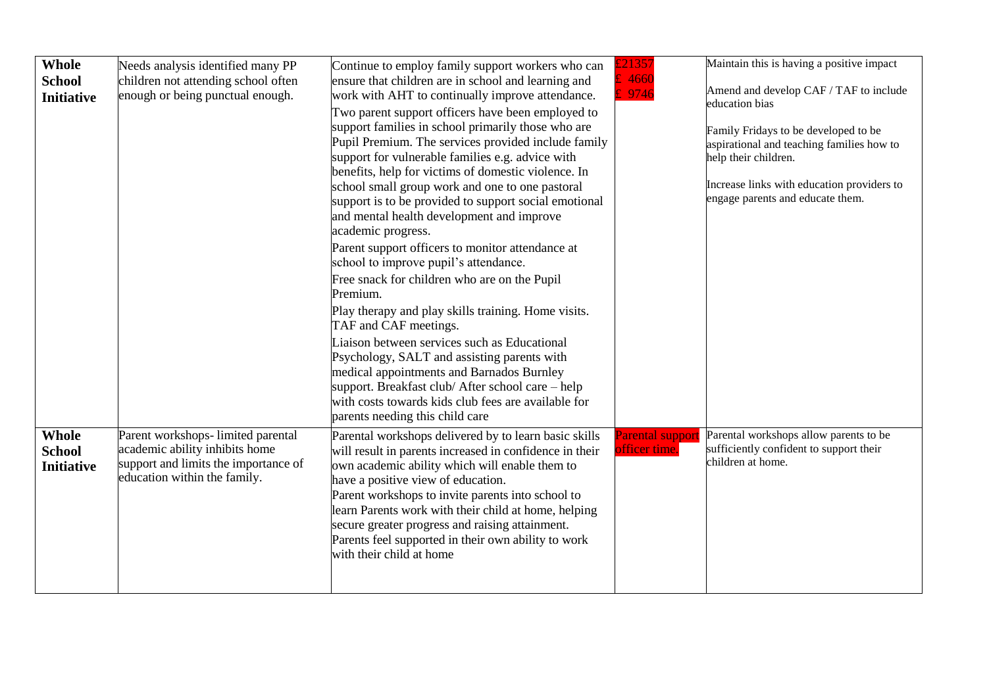| Whole<br><b>School</b><br><b>Initiative</b>        | Needs analysis identified many PP<br>children not attending school often<br>enough or being punctual enough.                                 | Continue to employ family support workers who can<br>ensure that children are in school and learning and<br>work with AHT to continually improve attendance.<br>Two parent support officers have been employed to<br>support families in school primarily those who are<br>Pupil Premium. The services provided include family<br>support for vulnerable families e.g. advice with<br>benefits, help for victims of domestic violence. In<br>school small group work and one to one pastoral<br>support is to be provided to support social emotional<br>and mental health development and improve<br>academic progress.<br>Parent support officers to monitor attendance at<br>school to improve pupil's attendance.<br>Free snack for children who are on the Pupil<br>Premium.<br>Play therapy and play skills training. Home visits.<br>TAF and CAF meetings.<br>Liaison between services such as Educational<br>Psychology, SALT and assisting parents with<br>medical appointments and Barnados Burnley<br>support. Breakfast club/ After school care – help<br>with costs towards kids club fees are available for<br>parents needing this child care | 21357<br>4660<br>9746             | Maintain this is having a positive impact<br>Amend and develop CAF / TAF to include<br>education bias<br>Family Fridays to be developed to be<br>aspirational and teaching families how to<br>help their children.<br>Increase links with education providers to<br>engage parents and educate them. |
|----------------------------------------------------|----------------------------------------------------------------------------------------------------------------------------------------------|--------------------------------------------------------------------------------------------------------------------------------------------------------------------------------------------------------------------------------------------------------------------------------------------------------------------------------------------------------------------------------------------------------------------------------------------------------------------------------------------------------------------------------------------------------------------------------------------------------------------------------------------------------------------------------------------------------------------------------------------------------------------------------------------------------------------------------------------------------------------------------------------------------------------------------------------------------------------------------------------------------------------------------------------------------------------------------------------------------------------------------------------------------------|-----------------------------------|------------------------------------------------------------------------------------------------------------------------------------------------------------------------------------------------------------------------------------------------------------------------------------------------------|
| <b>Whole</b><br><b>School</b><br><b>Initiative</b> | Parent workshops- limited parental<br>academic ability inhibits home<br>support and limits the importance of<br>education within the family. | Parental workshops delivered by to learn basic skills<br>will result in parents increased in confidence in their<br>own academic ability which will enable them to<br>have a positive view of education.<br>Parent workshops to invite parents into school to<br>learn Parents work with their child at home, helping<br>secure greater progress and raising attainment.<br>Parents feel supported in their own ability to work<br>with their child at home                                                                                                                                                                                                                                                                                                                                                                                                                                                                                                                                                                                                                                                                                                  | Parental support<br>officer time. | Parental workshops allow parents to be<br>sufficiently confident to support their<br>children at home.                                                                                                                                                                                               |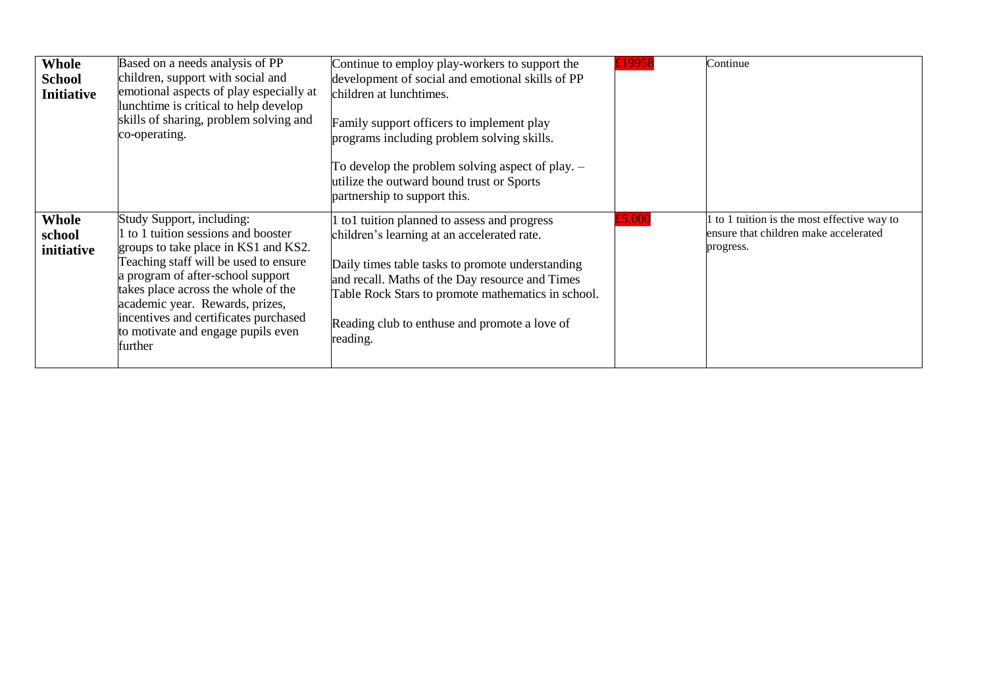| <b>Whole</b><br><b>School</b><br><b>Initiative</b> | Based on a needs analysis of PP<br>children, support with social and<br>emotional aspects of play especially at<br>lunchtime is critical to help develop<br>skills of sharing, problem solving and<br>co-operating.                                                                                                                                      | Continue to employ play-workers to support the<br>development of social and emotional skills of PP<br>children at lunchtimes.<br>Family support officers to implement play<br>programs including problem solving skills.<br>To develop the problem solving aspect of play. $-$<br>utilize the outward bound trust or Sports<br>partnership to support this. | £19958 | Continue                                                                                        |
|----------------------------------------------------|----------------------------------------------------------------------------------------------------------------------------------------------------------------------------------------------------------------------------------------------------------------------------------------------------------------------------------------------------------|-------------------------------------------------------------------------------------------------------------------------------------------------------------------------------------------------------------------------------------------------------------------------------------------------------------------------------------------------------------|--------|-------------------------------------------------------------------------------------------------|
| <b>Whole</b><br>school<br>initiative               | Study Support, including:<br>to 1 tuition sessions and booster<br>groups to take place in KS1 and KS2.<br>Teaching staff will be used to ensure<br>a program of after-school support<br>takes place across the whole of the<br>academic year. Rewards, prizes,<br>incentives and certificates purchased<br>to motivate and engage pupils even<br>further | to 1 tuition planned to assess and progress<br>children's learning at an accelerated rate.<br>Daily times table tasks to promote understanding<br>and recall. Maths of the Day resource and Times<br>Table Rock Stars to promote mathematics in school.<br>Reading club to enthuse and promote a love of<br>reading.                                        | £5,000 | to 1 tuition is the most effective way to<br>ensure that children make accelerated<br>progress. |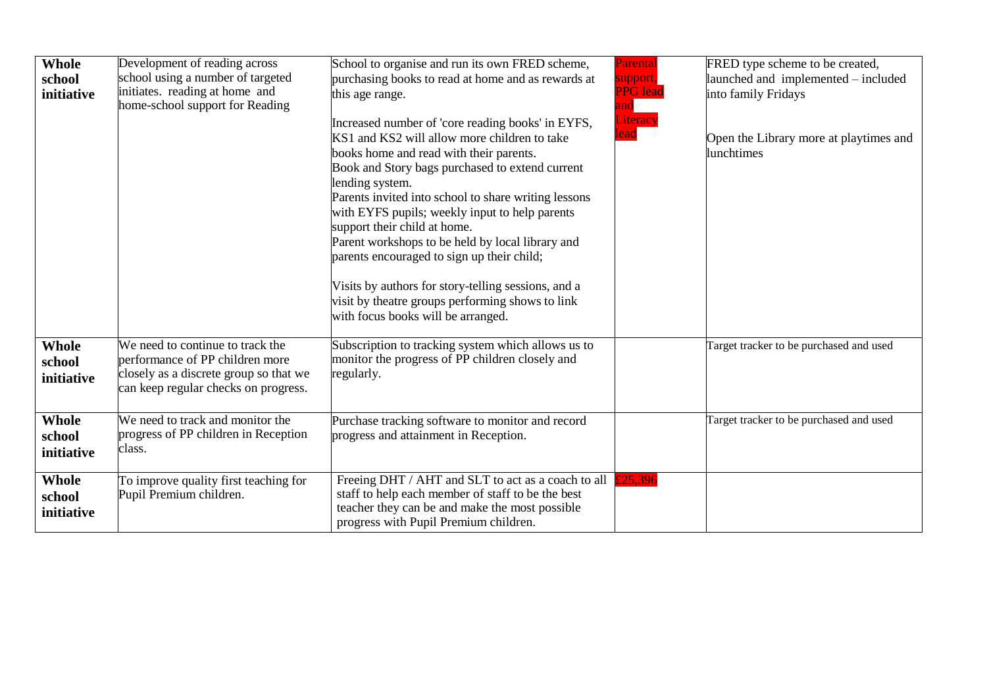| Whole<br>school<br>initiative | Development of reading across<br>school using a number of targeted<br>initiates. reading at home and<br>home-school support for Reading               | School to organise and run its own FRED scheme,<br>purchasing books to read at home and as rewards at<br>this age range.<br>Increased number of 'core reading books' in EYFS,<br>KS1 and KS2 will allow more children to take<br>books home and read with their parents.<br>Book and Story bags purchased to extend current<br>lending system.<br>Parents invited into school to share writing lessons<br>with EYFS pupils; weekly input to help parents<br>support their child at home.<br>Parent workshops to be held by local library and<br>parents encouraged to sign up their child;<br>Visits by authors for story-telling sessions, and a<br>visit by theatre groups performing shows to link<br>with focus books will be arranged. | Parental<br>support,<br><b>PPG</b> lead<br>and $\overline{\phantom{a}}$<br>Literacy<br>lead | FRED type scheme to be created,<br>launched and implemented – included<br>into family Fridays<br>Open the Library more at playtimes and<br>lunchtimes |
|-------------------------------|-------------------------------------------------------------------------------------------------------------------------------------------------------|---------------------------------------------------------------------------------------------------------------------------------------------------------------------------------------------------------------------------------------------------------------------------------------------------------------------------------------------------------------------------------------------------------------------------------------------------------------------------------------------------------------------------------------------------------------------------------------------------------------------------------------------------------------------------------------------------------------------------------------------|---------------------------------------------------------------------------------------------|-------------------------------------------------------------------------------------------------------------------------------------------------------|
| Whole<br>school<br>initiative | We need to continue to track the<br>performance of PP children more<br>closely as a discrete group so that we<br>can keep regular checks on progress. | Subscription to tracking system which allows us to<br>monitor the progress of PP children closely and<br>regularly.                                                                                                                                                                                                                                                                                                                                                                                                                                                                                                                                                                                                                         |                                                                                             | Target tracker to be purchased and used                                                                                                               |
| Whole<br>school<br>initiative | We need to track and monitor the<br>progress of PP children in Reception<br>class.                                                                    | Purchase tracking software to monitor and record<br>progress and attainment in Reception.                                                                                                                                                                                                                                                                                                                                                                                                                                                                                                                                                                                                                                                   |                                                                                             | Target tracker to be purchased and used                                                                                                               |
| Whole<br>school<br>initiative | To improve quality first teaching for<br>Pupil Premium children.                                                                                      | Freeing DHT / AHT and SLT to act as a coach to all<br>staff to help each member of staff to be the best<br>teacher they can be and make the most possible<br>progress with Pupil Premium children.                                                                                                                                                                                                                                                                                                                                                                                                                                                                                                                                          | £25,396                                                                                     |                                                                                                                                                       |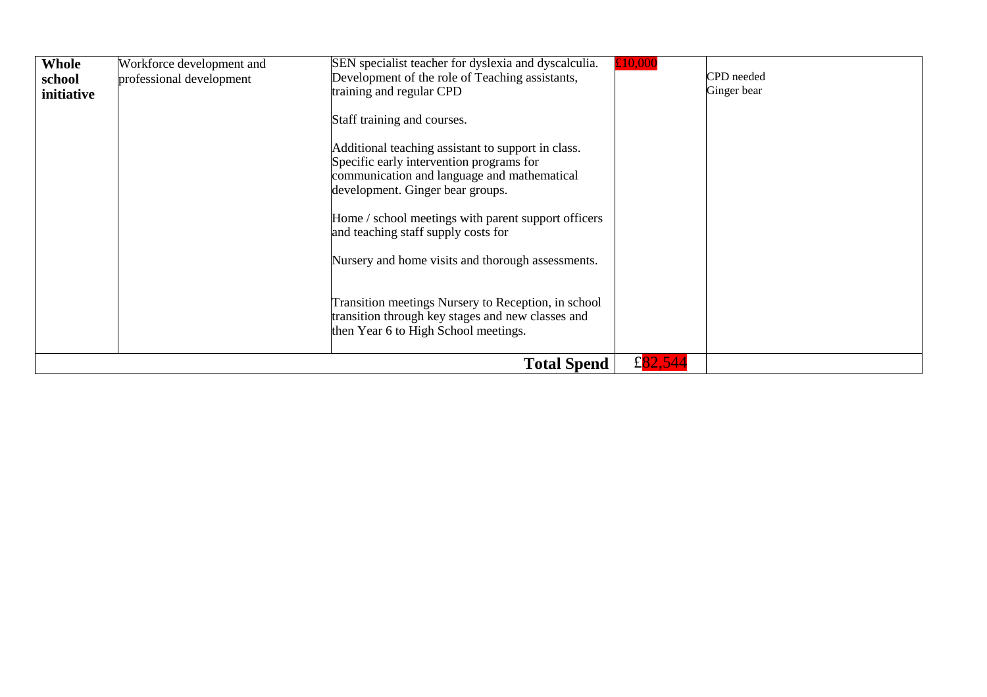| Whole      | Workforce development and | SEN specialist teacher for dyslexia and dyscalculia.<br>£10,000                                                                                                                                                                                                                                                                                                                                                                                                                                                         |             |
|------------|---------------------------|-------------------------------------------------------------------------------------------------------------------------------------------------------------------------------------------------------------------------------------------------------------------------------------------------------------------------------------------------------------------------------------------------------------------------------------------------------------------------------------------------------------------------|-------------|
| school     | professional development  | Development of the role of Teaching assistants,                                                                                                                                                                                                                                                                                                                                                                                                                                                                         | CPD needed  |
| initiative |                           | training and regular CPD                                                                                                                                                                                                                                                                                                                                                                                                                                                                                                | Ginger bear |
|            |                           | Staff training and courses.<br>Additional teaching assistant to support in class.<br>Specific early intervention programs for<br>communication and language and mathematical<br>development. Ginger bear groups.<br>Home / school meetings with parent support officers<br>and teaching staff supply costs for<br>Nursery and home visits and thorough assessments.<br>Transition meetings Nursery to Reception, in school<br>transition through key stages and new classes and<br>then Year 6 to High School meetings. |             |
|            |                           |                                                                                                                                                                                                                                                                                                                                                                                                                                                                                                                         |             |
|            |                           | £ $82,544$<br><b>Total Spend</b>                                                                                                                                                                                                                                                                                                                                                                                                                                                                                        |             |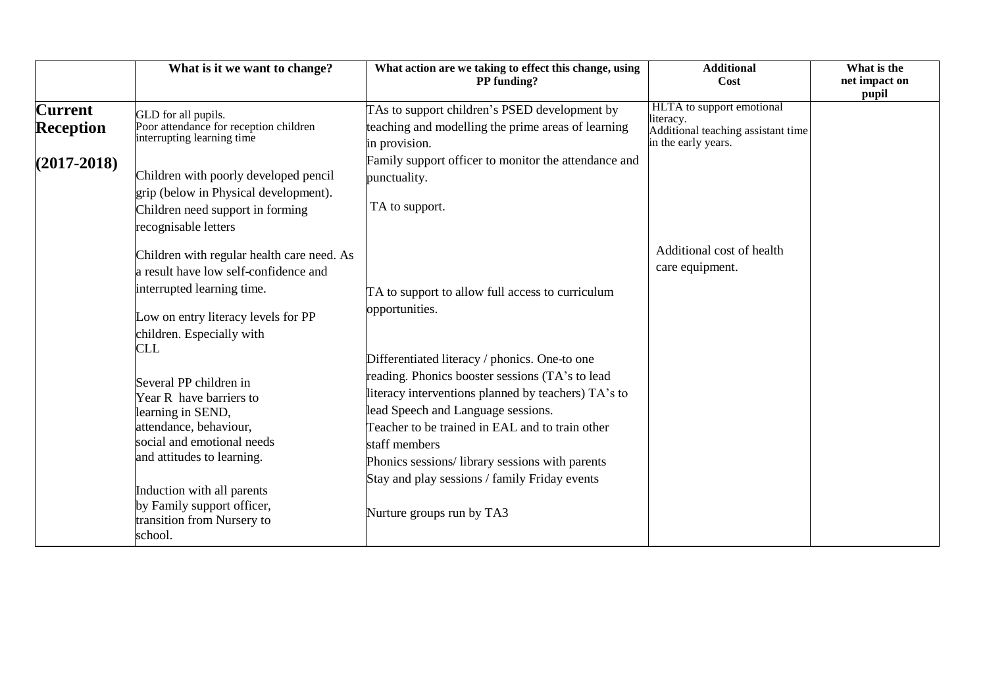|                                    | What is it we want to change?                                                                                                                                                                                                                                                                                                                                                                                                                                 | What action are we taking to effect this change, using<br>PP funding?                                                                                                                                                                                                                                                                                                                                                                                                   | <b>Additional</b><br>Cost                                                                           | What is the<br>net impact on<br>pupil |
|------------------------------------|---------------------------------------------------------------------------------------------------------------------------------------------------------------------------------------------------------------------------------------------------------------------------------------------------------------------------------------------------------------------------------------------------------------------------------------------------------------|-------------------------------------------------------------------------------------------------------------------------------------------------------------------------------------------------------------------------------------------------------------------------------------------------------------------------------------------------------------------------------------------------------------------------------------------------------------------------|-----------------------------------------------------------------------------------------------------|---------------------------------------|
| <b>Current</b><br><b>Reception</b> | GLD for all pupils.<br>Poor attendance for reception children<br>interrupting learning time                                                                                                                                                                                                                                                                                                                                                                   | TAs to support children's PSED development by<br>teaching and modelling the prime areas of learning<br>in provision.                                                                                                                                                                                                                                                                                                                                                    | HLTA to support emotional<br>literacy.<br>Additional teaching assistant time<br>in the early years. |                                       |
| $(2017 - 2018)$                    | Children with poorly developed pencil<br>grip (below in Physical development).<br>Children need support in forming<br>recognisable letters                                                                                                                                                                                                                                                                                                                    | Family support officer to monitor the attendance and<br>punctuality.<br>TA to support.                                                                                                                                                                                                                                                                                                                                                                                  |                                                                                                     |                                       |
|                                    | Children with regular health care need. As<br>a result have low self-confidence and<br>interrupted learning time.<br>Low on entry literacy levels for PP<br>children. Especially with<br><b>CLL</b><br>Several PP children in<br>Year R have barriers to<br>learning in SEND,<br>attendance, behaviour,<br>social and emotional needs<br>and attitudes to learning.<br>Induction with all parents<br>by Family support officer,<br>transition from Nursery to | TA to support to allow full access to curriculum<br>opportunities.<br>Differentiated literacy / phonics. One-to one<br>reading. Phonics booster sessions (TA's to lead<br>literacy interventions planned by teachers) TA's to<br>lead Speech and Language sessions.<br>Teacher to be trained in EAL and to train other<br>staff members<br>Phonics sessions/library sessions with parents<br>Stay and play sessions / family Friday events<br>Nurture groups run by TA3 | Additional cost of health<br>care equipment.                                                        |                                       |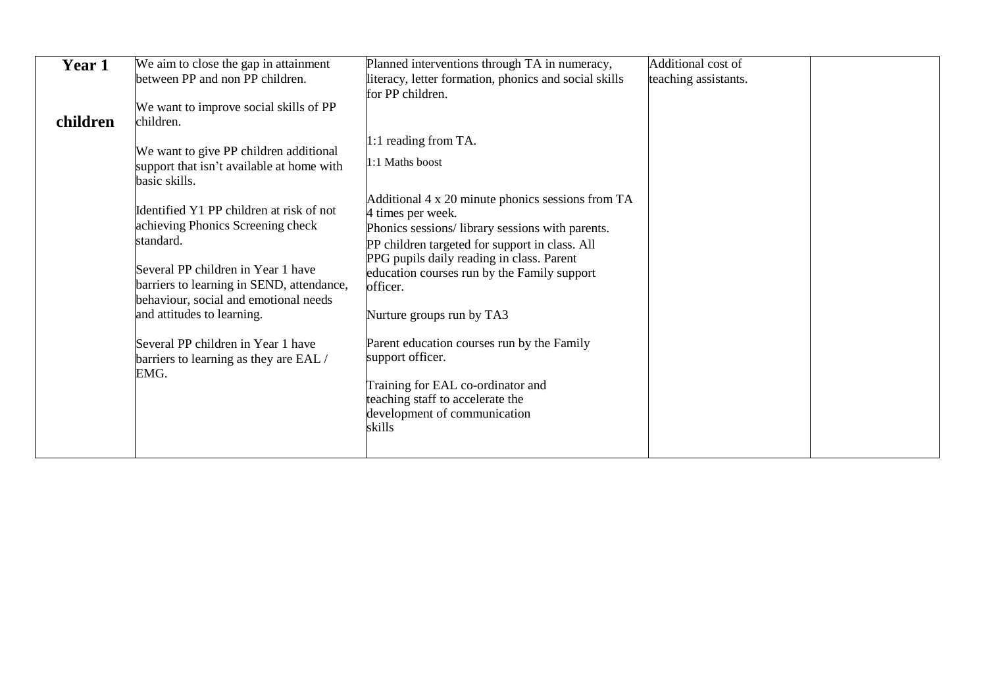| Year 1   | We aim to close the gap in attainment                                                                                                                                                                                                                | Planned interventions through TA in numeracy,                                                                                                                                                                                                                                                                    | Additional cost of   |  |
|----------|------------------------------------------------------------------------------------------------------------------------------------------------------------------------------------------------------------------------------------------------------|------------------------------------------------------------------------------------------------------------------------------------------------------------------------------------------------------------------------------------------------------------------------------------------------------------------|----------------------|--|
|          | between PP and non PP children.                                                                                                                                                                                                                      | literacy, letter formation, phonics and social skills                                                                                                                                                                                                                                                            | teaching assistants. |  |
| children | We want to improve social skills of PP<br>children.                                                                                                                                                                                                  | for PP children.                                                                                                                                                                                                                                                                                                 |                      |  |
|          | We want to give PP children additional<br>support that isn't available at home with<br>basic skills.                                                                                                                                                 | 1:1 reading from TA.<br>1:1 Maths boost                                                                                                                                                                                                                                                                          |                      |  |
|          | Identified Y1 PP children at risk of not<br>achieving Phonics Screening check<br>standard.<br>Several PP children in Year 1 have<br>barriers to learning in SEND, attendance,<br>behaviour, social and emotional needs<br>and attitudes to learning. | Additional 4 x 20 minute phonics sessions from TA<br>4 times per week.<br>Phonics sessions/library sessions with parents.<br>PP children targeted for support in class. All<br>PPG pupils daily reading in class. Parent<br>education courses run by the Family support<br>officer.<br>Nurture groups run by TA3 |                      |  |
|          | Several PP children in Year 1 have<br>barriers to learning as they are EAL /<br>EMG.                                                                                                                                                                 | Parent education courses run by the Family<br>support officer.<br>Training for EAL co-ordinator and<br>teaching staff to accelerate the<br>development of communication<br>skills                                                                                                                                |                      |  |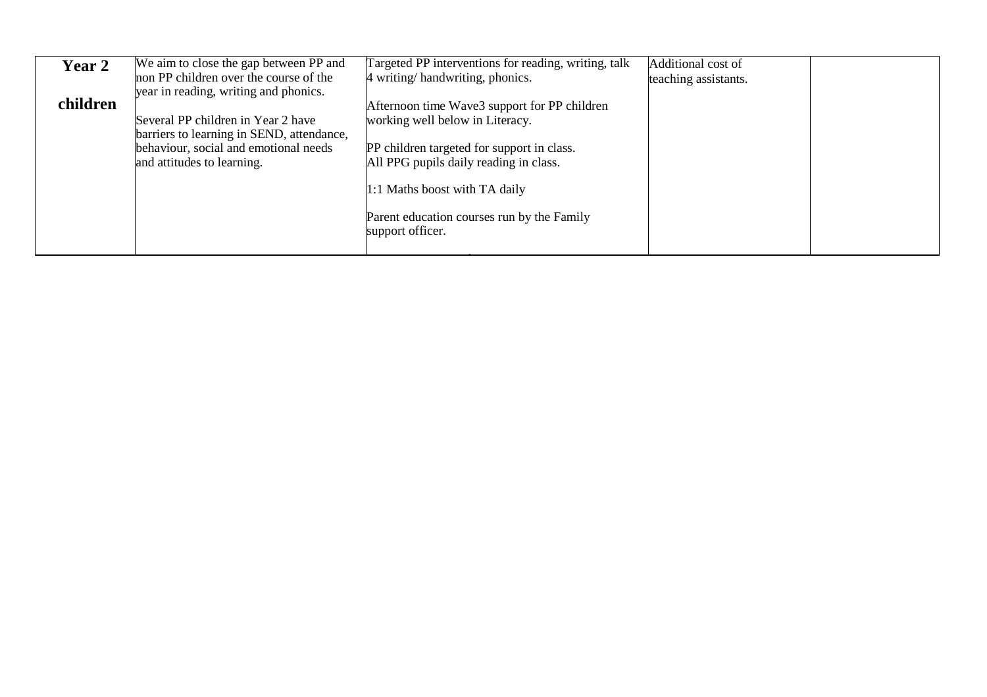| <b>Year 2</b> | We aim to close the gap between PP and                                          | Targeted PP interventions for reading, writing, talk                                 | Additional cost of   |  |
|---------------|---------------------------------------------------------------------------------|--------------------------------------------------------------------------------------|----------------------|--|
|               | non PP children over the course of the<br>year in reading, writing and phonics. | 4 writing/handwriting, phonics.                                                      | teaching assistants. |  |
| children      | Several PP children in Year 2 have                                              | Afternoon time Wave3 support for PP children<br>working well below in Literacy.      |                      |  |
|               | barriers to learning in SEND, attendance,                                       |                                                                                      |                      |  |
|               | behaviour, social and emotional needs<br>and attitudes to learning.             | PP children targeted for support in class.<br>All PPG pupils daily reading in class. |                      |  |
|               |                                                                                 |                                                                                      |                      |  |
|               |                                                                                 | 1:1 Maths boost with TA daily                                                        |                      |  |
|               |                                                                                 | Parent education courses run by the Family<br>support officer.                       |                      |  |
|               |                                                                                 |                                                                                      |                      |  |
|               |                                                                                 |                                                                                      |                      |  |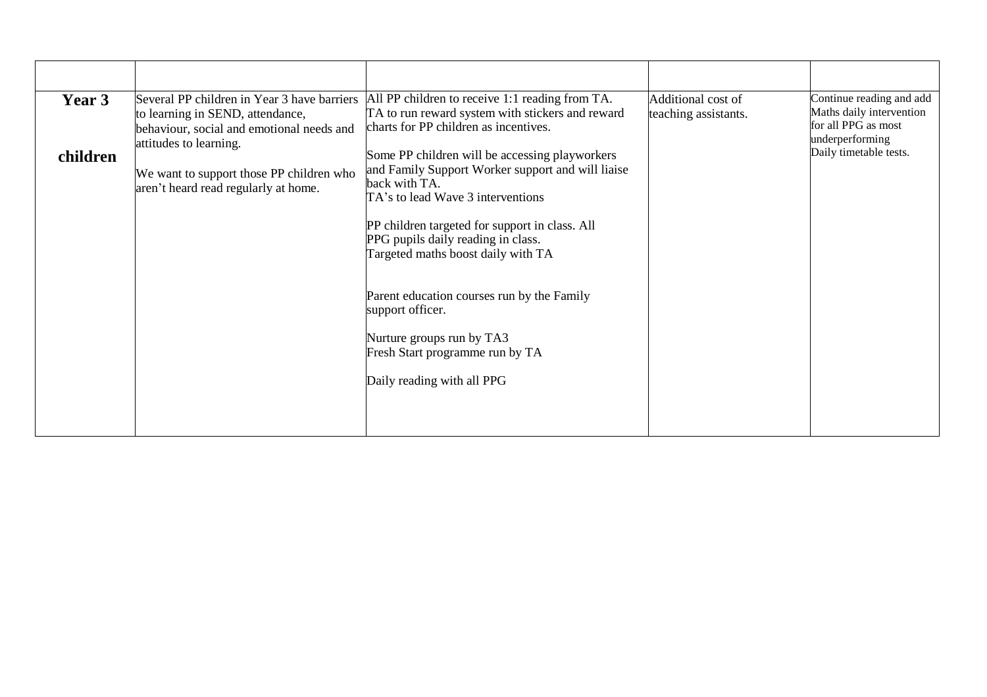| Year 3<br>children | Several PP children in Year 3 have barriers<br>to learning in SEND, attendance,<br>behaviour, social and emotional needs and<br>attitudes to learning.<br>We want to support those PP children who<br>aren't heard read regularly at home. | All PP children to receive 1:1 reading from TA.<br>TA to run reward system with stickers and reward<br>charts for PP children as incentives.<br>Some PP children will be accessing playworkers<br>and Family Support Worker support and will liaise<br>back with TA.<br>TA's to lead Wave 3 interventions<br>PP children targeted for support in class. All<br>PPG pupils daily reading in class.<br>Targeted maths boost daily with TA<br>Parent education courses run by the Family<br>support officer.<br>Nurture groups run by TA3<br>Fresh Start programme run by TA<br>Daily reading with all PPG | Additional cost of<br>teaching assistants. | Continue reading and add<br>Maths daily intervention<br>for all PPG as most<br>underperforming<br>Daily timetable tests. |
|--------------------|--------------------------------------------------------------------------------------------------------------------------------------------------------------------------------------------------------------------------------------------|---------------------------------------------------------------------------------------------------------------------------------------------------------------------------------------------------------------------------------------------------------------------------------------------------------------------------------------------------------------------------------------------------------------------------------------------------------------------------------------------------------------------------------------------------------------------------------------------------------|--------------------------------------------|--------------------------------------------------------------------------------------------------------------------------|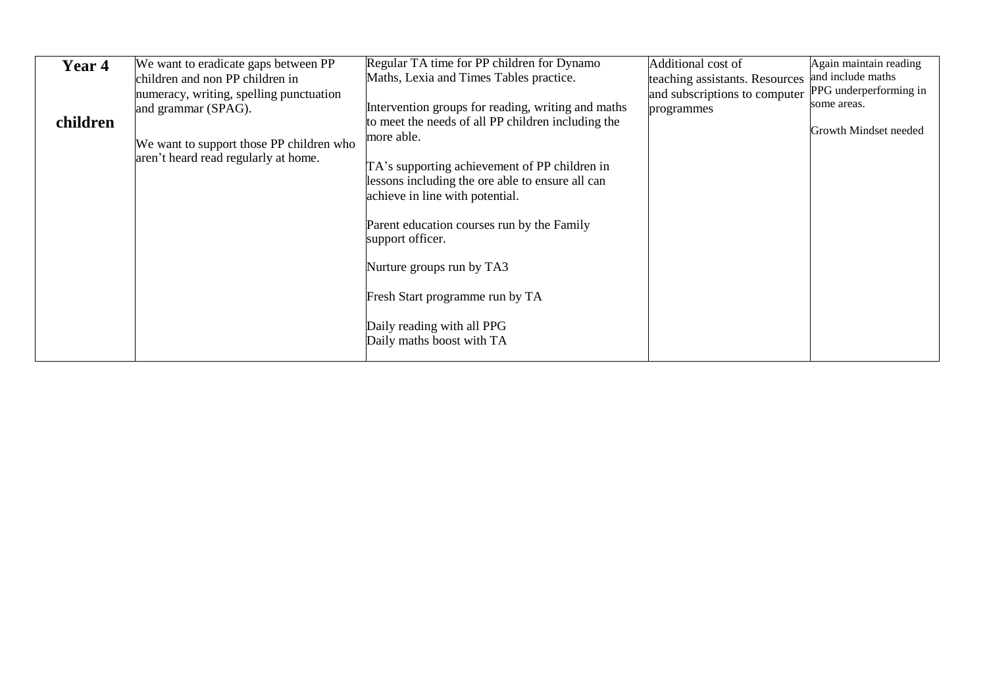| Year 4   | We want to eradicate gaps between PP<br>children and non PP children in<br>numeracy, writing, spelling punctuation | Regular TA time for PP children for Dynamo<br>Maths, Lexia and Times Tables practice.                                                | Additional cost of<br>teaching assistants. Resources<br>and subscriptions to computer | Again maintain reading<br>and include maths<br>PPG underperforming in |
|----------|--------------------------------------------------------------------------------------------------------------------|--------------------------------------------------------------------------------------------------------------------------------------|---------------------------------------------------------------------------------------|-----------------------------------------------------------------------|
| children | and grammar (SPAG).<br>We want to support those PP children who<br>aren't heard read regularly at home.            | Intervention groups for reading, writing and maths<br>to meet the needs of all PP children including the<br>more able.               | programmes                                                                            | some areas.<br>Growth Mindset needed                                  |
|          |                                                                                                                    | TA's supporting achievement of PP children in<br>lessons including the ore able to ensure all can<br>achieve in line with potential. |                                                                                       |                                                                       |
|          |                                                                                                                    | Parent education courses run by the Family<br>support officer.                                                                       |                                                                                       |                                                                       |
|          |                                                                                                                    | Nurture groups run by TA3                                                                                                            |                                                                                       |                                                                       |
|          |                                                                                                                    | Fresh Start programme run by TA                                                                                                      |                                                                                       |                                                                       |
|          |                                                                                                                    | Daily reading with all PPG<br>Daily maths boost with TA                                                                              |                                                                                       |                                                                       |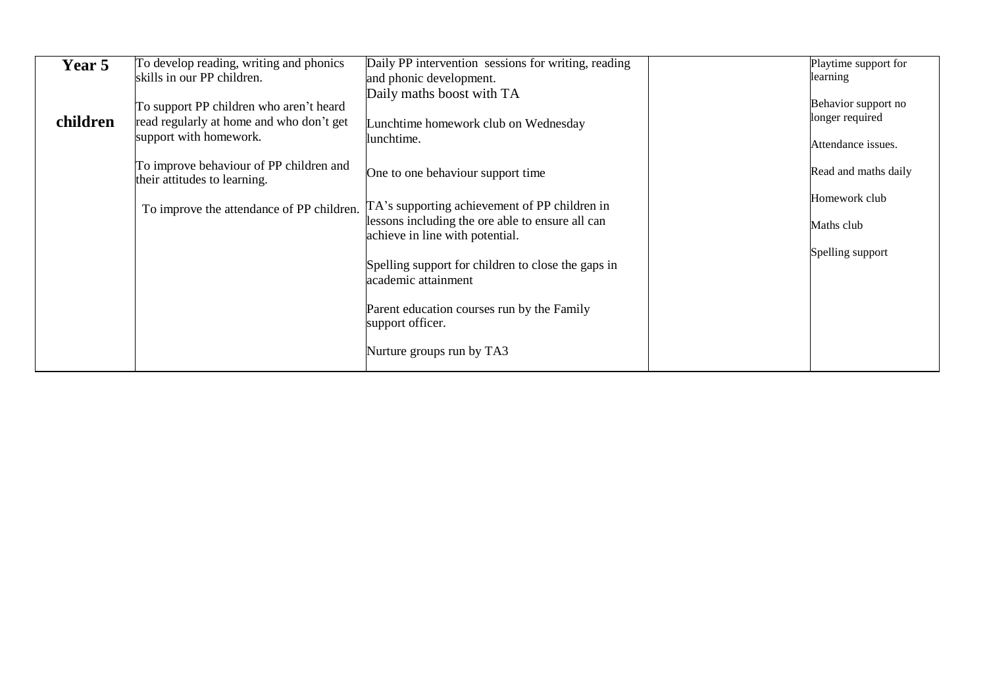| Year 5   | To develop reading, writing and phonics<br>skills in our PP children.                                         | Daily PP intervention sessions for writing, reading<br>and phonic development.                                                       | Playtime support for<br>learning                             |
|----------|---------------------------------------------------------------------------------------------------------------|--------------------------------------------------------------------------------------------------------------------------------------|--------------------------------------------------------------|
| children | To support PP children who aren't heard<br>read regularly at home and who don't get<br>support with homework. | Daily maths boost with TA<br>Lunchtime homework club on Wednesday<br>lunchtime.                                                      | Behavior support no<br>longer required<br>Attendance issues. |
|          | To improve behaviour of PP children and<br>their attitudes to learning.                                       | One to one behaviour support time                                                                                                    | Read and maths daily                                         |
|          | To improve the attendance of PP children.                                                                     | TA's supporting achievement of PP children in<br>lessons including the ore able to ensure all can<br>achieve in line with potential. | Homework club<br>Maths club                                  |
|          |                                                                                                               | Spelling support for children to close the gaps in<br>academic attainment                                                            | Spelling support                                             |
|          |                                                                                                               | Parent education courses run by the Family<br>support officer.                                                                       |                                                              |
|          |                                                                                                               | Nurture groups run by TA3                                                                                                            |                                                              |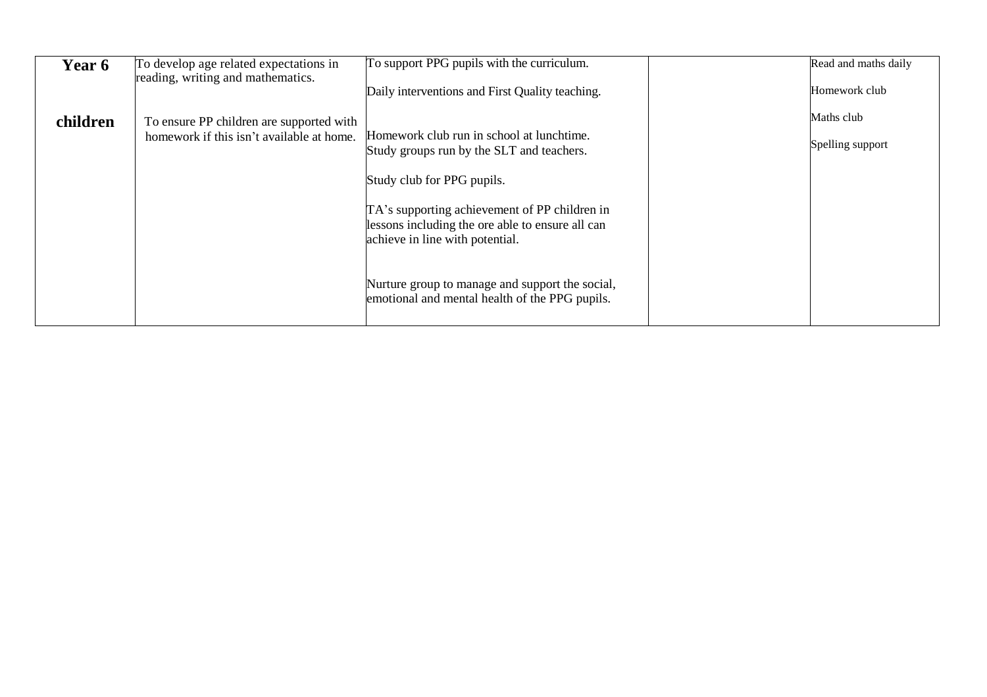| <b>Year 6</b> | To develop age related expectations in<br>reading, writing and mathematics. | To support PPG pupils with the curriculum.                                                                                           | Read and maths daily |
|---------------|-----------------------------------------------------------------------------|--------------------------------------------------------------------------------------------------------------------------------------|----------------------|
|               |                                                                             | Daily interventions and First Quality teaching.                                                                                      | Homework club        |
| children      | To ensure PP children are supported with                                    |                                                                                                                                      | Maths club           |
|               | homework if this isn't available at home.                                   | Homework club run in school at lunchtime.<br>Study groups run by the SLT and teachers.                                               | Spelling support     |
|               |                                                                             | Study club for PPG pupils.                                                                                                           |                      |
|               |                                                                             | TA's supporting achievement of PP children in<br>lessons including the ore able to ensure all can<br>achieve in line with potential. |                      |
|               |                                                                             | Nurture group to manage and support the social,<br>emotional and mental health of the PPG pupils.                                    |                      |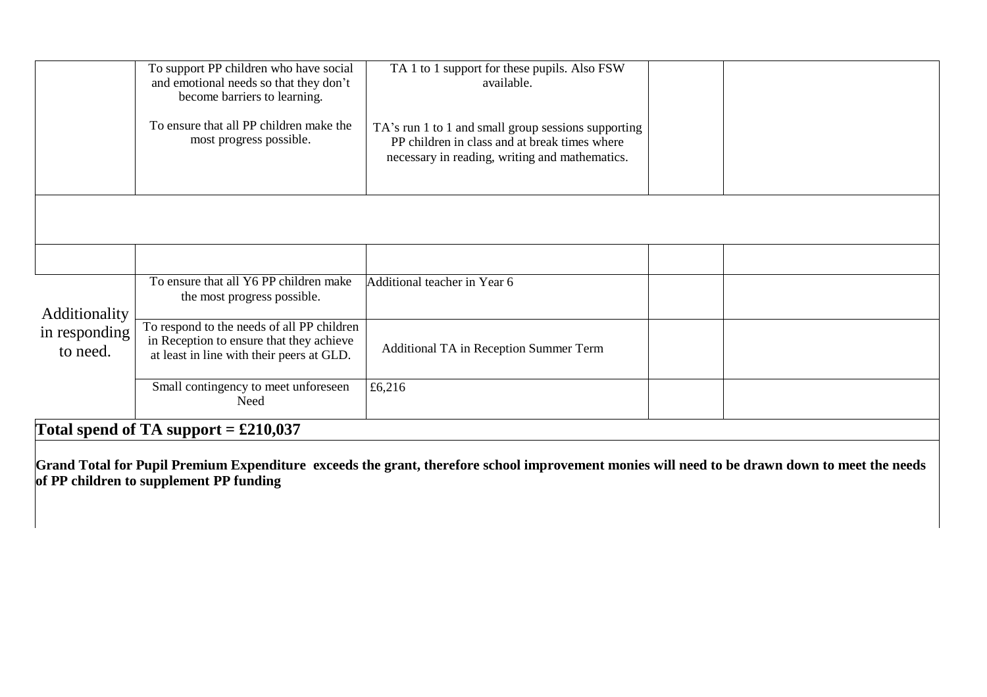|                                                   | To support PP children who have social<br>and emotional needs so that they don't<br>become barriers to learning.                    | TA 1 to 1 support for these pupils. Also FSW<br>available.                                                                                             |  |  |
|---------------------------------------------------|-------------------------------------------------------------------------------------------------------------------------------------|--------------------------------------------------------------------------------------------------------------------------------------------------------|--|--|
|                                                   | To ensure that all PP children make the<br>most progress possible.                                                                  | TA's run 1 to 1 and small group sessions supporting<br>PP children in class and at break times where<br>necessary in reading, writing and mathematics. |  |  |
|                                                   |                                                                                                                                     |                                                                                                                                                        |  |  |
|                                                   |                                                                                                                                     |                                                                                                                                                        |  |  |
| <b>Additionality</b><br>in responding<br>to need. | To ensure that all Y6 PP children make<br>the most progress possible.                                                               | Additional teacher in Year 6                                                                                                                           |  |  |
|                                                   | To respond to the needs of all PP children<br>in Reception to ensure that they achieve<br>at least in line with their peers at GLD. | Additional TA in Reception Summer Term                                                                                                                 |  |  |
|                                                   | Small contingency to meet unforeseen<br>Need                                                                                        | £6,216                                                                                                                                                 |  |  |
| Total spend of TA support = $£210,037$            |                                                                                                                                     |                                                                                                                                                        |  |  |

**Grand Total for Pupil Premium Expenditure exceeds the grant, therefore school improvement monies will need to be drawn down to meet the needs of PP children to supplement PP funding**